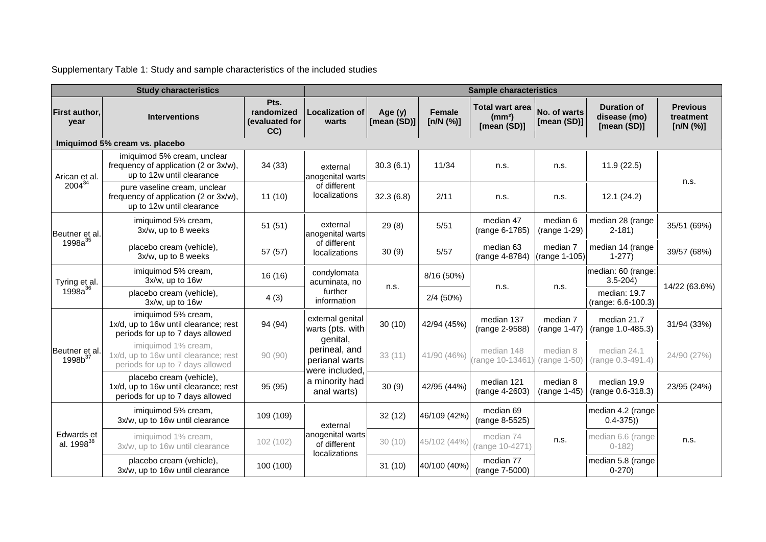Supplementary Table 1: Study and sample characteristics of the included studies

|                                       | <b>Study characteristics</b>                                                                          | <b>Sample characteristics</b>              |                                                                                                                                        |                        |                     |                                                             |                                                                                                           |                                                   |                                           |
|---------------------------------------|-------------------------------------------------------------------------------------------------------|--------------------------------------------|----------------------------------------------------------------------------------------------------------------------------------------|------------------------|---------------------|-------------------------------------------------------------|-----------------------------------------------------------------------------------------------------------|---------------------------------------------------|-------------------------------------------|
| First author,<br>year                 | <b>Interventions</b>                                                                                  | Pts.<br>randomized<br>(evaluated for<br>CC | <b>Localization of</b><br>warts                                                                                                        | Age (y)<br>[mean (SD)] | Female<br>[n/N (%)] | <b>Total wart area</b><br>(mm <sup>2</sup> )<br>[mean (SD)] | No. of warts<br>[mean (SD)]                                                                               | <b>Duration of</b><br>disease (mo)<br>[mean (SD)] | <b>Previous</b><br>treatment<br>[n/N (%)] |
|                                       | Imiquimod 5% cream vs. placebo                                                                        |                                            |                                                                                                                                        |                        |                     |                                                             |                                                                                                           |                                                   |                                           |
| Arican et al.                         | imiquimod 5% cream, unclear<br>frequency of application (2 or 3x/w),<br>up to 12w until clearance     | 34(33)                                     | external<br>anogenital warts                                                                                                           | 30.3(6.1)              | 11/34               | n.s.                                                        | n.s.                                                                                                      | 11.9(22.5)                                        | n.s.                                      |
| $2004^{34}$                           | pure vaseline cream, unclear<br>frequency of application (2 or 3x/w),<br>up to 12w until clearance    | 11(10)                                     | of different<br>localizations                                                                                                          | 32.3(6.8)              | 2/11                | n.s.                                                        | n.s.                                                                                                      | 12.1(24.2)                                        |                                           |
| Beutner et al.<br>$1998a^{35}$        | imiquimod 5% cream,<br>3x/w, up to 8 weeks                                                            | 51(51)                                     | external<br>anogenital warts                                                                                                           | 29(8)                  | 5/51                | median 47<br>(range 6-1785)                                 | median 6<br>(range 1-29)                                                                                  | median 28 (range<br>$2 - 181$                     | 35/51 (69%)                               |
|                                       | placebo cream (vehicle),<br>3x/w, up to 8 weeks                                                       | 57 (57)                                    | of different<br>localizations                                                                                                          | 30(9)                  | 5/57                | median 63<br>(range 4-8784)                                 | median 7                                                                                                  | median 14 (range<br>$1-277$                       | 39/57 (68%)                               |
| Tyring et al.                         | imiquimod 5% cream,<br>3x/w, up to 16w                                                                | 16(16)                                     | condylomata<br>acuminata, no                                                                                                           |                        | 8/16 (50%)          |                                                             | (range 1-105)<br>n.s.<br>median 7<br>(range 1-47)<br>median 8<br>(range 1-50)<br>median 8<br>(range 1-45) | median: 60 (range:<br>$3.5 - 204$                 | 14/22 (63.6%)                             |
| $1998a^{36}$                          | placebo cream (vehicle),<br>3x/w, up to 16w                                                           | 4(3)                                       | further<br>information                                                                                                                 | n.s.                   | $2/4$ (50%)         | n.s.                                                        |                                                                                                           | median: 19.7<br>(range: 6.6-100.3)                |                                           |
|                                       | imiquimod 5% cream,<br>1x/d, up to 16w until clearance; rest<br>periods for up to 7 days allowed      | 94 (94)                                    | external genital<br>warts (pts. with<br>genital,<br>perineal, and<br>perianal warts<br>were included,<br>a minority had<br>anal warts) | 30(10)                 | 42/94 (45%)         | median 137<br>(range 2-9588)                                |                                                                                                           | median 21.7<br>(range 1.0-485.3)                  | 31/94 (33%)                               |
| Beutner et al.<br>1998b <sup>37</sup> | imiquimod 1% cream,<br>1x/d, up to 16w until clearance; rest<br>periods for up to 7 days allowed      | 90(90)                                     |                                                                                                                                        | 33(11)                 | 41/90 (46%)         | median 148<br>range 10-13461)                               |                                                                                                           | median 24.1<br>(range 0.3-491.4)                  | 24/90 (27%)                               |
|                                       | placebo cream (vehicle),<br>1x/d, up to 16w until clearance; rest<br>periods for up to 7 days allowed | 95 (95)                                    |                                                                                                                                        | 30(9)                  | 42/95 (44%)         | median 121<br>(range 4-2603)                                |                                                                                                           | median 19.9<br>(range 0.6-318.3)                  | 23/95 (24%)                               |
| Edwards et<br>al. 1998 <sup>38</sup>  | imiquimod 5% cream,<br>3x/w, up to 16w until clearance                                                | 109 (109)                                  | external<br>anogenital warts<br>of different<br>localizations                                                                          | 32(12)                 | 46/109 (42%)        | median 69<br>(range 8-5525)                                 |                                                                                                           | median 4.2 (range<br>$0.4 - 375)$                 |                                           |
|                                       | imiquimod 1% cream,<br>3x/w, up to 16w until clearance                                                | 102(102)                                   |                                                                                                                                        | 30(10)                 | 45/102 (44%)        | median 74<br>(range 10-4271)                                | n.s.                                                                                                      | median 6.6 (range<br>$0 - 182$                    | n.s.                                      |
|                                       | placebo cream (vehicle),<br>3x/w, up to 16w until clearance                                           | 100 (100)                                  |                                                                                                                                        | 31(10)                 | 40/100 (40%)        | median 77<br>(range 7-5000)                                 |                                                                                                           | median 5.8 (range<br>$0 - 270$                    |                                           |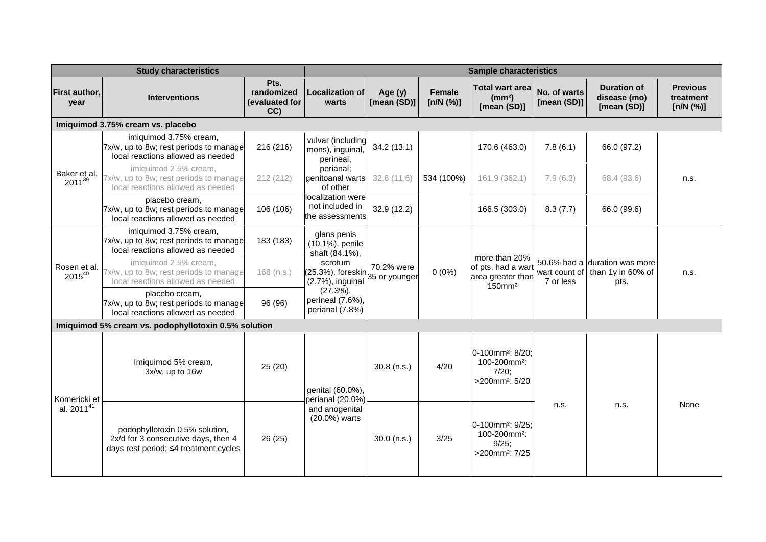|                                        | <b>Study characteristics</b>                                                                                   | <b>Sample characteristics</b>               |                                                                                                                                                            |                             |                            |                                                                                                    |                             |                                                            |                                           |
|----------------------------------------|----------------------------------------------------------------------------------------------------------------|---------------------------------------------|------------------------------------------------------------------------------------------------------------------------------------------------------------|-----------------------------|----------------------------|----------------------------------------------------------------------------------------------------|-----------------------------|------------------------------------------------------------|-------------------------------------------|
| <b>First author,</b><br>year           | <b>Interventions</b>                                                                                           | Pts.<br>randomized<br>(evaluated for<br>CC) | <b>Localization of</b><br>warts                                                                                                                            | Age (y)<br>[mean (SD)]      | <b>Female</b><br>[n/N (%)] | <b>Total wart area</b><br>(mm <sup>2</sup> )<br>[mean (SD)]                                        | No. of warts<br>[mean (SD)] | <b>Duration of</b><br>disease (mo)<br>[mean (SD)]          | <b>Previous</b><br>treatment<br>[n/N (%)] |
|                                        | Imiquimod 3.75% cream vs. placebo                                                                              |                                             |                                                                                                                                                            |                             |                            |                                                                                                    |                             |                                                            |                                           |
|                                        | imiquimod 3.75% cream,<br>7x/w, up to 8w; rest periods to manage<br>local reactions allowed as needed          | 216 (216)                                   | vulvar (including<br>mons), inguinal<br>perineal,                                                                                                          | 34.2(13.1)                  |                            | 170.6 (463.0)                                                                                      | 7.8(6.1)                    | 66.0 (97.2)                                                |                                           |
| Baker et al.<br>$2011^{39}$            | imiguimod 2.5% cream.<br>7x/w, up to 8w; rest periods to manage<br>local reactions allowed as needed           | 212 (212)                                   | perianal;<br>genitoanal warts<br>of other                                                                                                                  | 32.8(11.6)                  | 534 (100%)                 | 161.9 (362.1)                                                                                      | 7.9(6.3)                    | 68.4 (93.6)                                                | n.s.                                      |
|                                        | placebo cream,<br>7x/w, up to 8w; rest periods to manage<br>local reactions allowed as needed                  | 106 (106)                                   | localization were<br>not included in<br>lthe assessments                                                                                                   | 32.9 (12.2)                 |                            | 166.5 (303.0)                                                                                      | 8.3(7.7)                    | 66.0 (99.6)                                                |                                           |
| Rosen et al.<br>$2015^{40}$            | imiquimod 3.75% cream,<br>7x/w, up to 8w; rest periods to manage<br>local reactions allowed as needed          | 183 (183)                                   | glans penis<br>(10,1%), penile<br>shaft (84.1%),<br>scrotum<br>(25.3%), foreskin<br>(2.7%), inguinal<br>$(27.3\%),$<br>perineal (7.6%),<br>perianal (7.8%) |                             |                            | more than 20%<br>of pts. had a wart<br>area greater than<br>$150$ mm <sup>2</sup>                  | wart count of<br>7 or less  | 50.6% had a duration was more<br>than 1y in 60% of<br>pts. | n.s.                                      |
|                                        | imiquimod 2.5% cream,<br>7x/w, up to 8w; rest periods to manage<br>local reactions allowed as needed           | $168$ (n.s.)                                |                                                                                                                                                            | 70.2% were<br>35 or younger | $0(0\%)$                   |                                                                                                    |                             |                                                            |                                           |
|                                        | placebo cream,<br>7x/w, up to 8w; rest periods to manage<br>local reactions allowed as needed                  | 96 (96)                                     |                                                                                                                                                            |                             |                            |                                                                                                    |                             |                                                            |                                           |
|                                        | Imiquimod 5% cream vs. podophyllotoxin 0.5% solution                                                           |                                             |                                                                                                                                                            |                             |                            |                                                                                                    |                             |                                                            |                                           |
|                                        | Imiquimod 5% cream,<br>3x/w, up to 16w                                                                         | 25 (20)                                     | genital (60.0%),<br>perianal (20.0%)<br>and anogenital<br>(20.0%) warts                                                                                    | $30.8$ (n.s.)               | 4/20                       | 0-100mm <sup>2</sup> : 8/20:<br>100-200mm <sup>2</sup> :<br>$7/20$ :<br>>200mm <sup>2</sup> : 5/20 | n.s.                        | n.s.                                                       | None                                      |
| Komericki et<br>al. 2011 <sup>41</sup> | podophyllotoxin 0.5% solution,<br>2x/d for 3 consecutive days, then 4<br>days rest period; ≤4 treatment cycles | 26 (25)                                     |                                                                                                                                                            | $30.0$ (n.s.)               | 3/25                       | 0-100mm <sup>2</sup> : 9/25:<br>100-200mm <sup>2</sup> :<br>9/25;<br>>200mm <sup>2</sup> : 7/25    |                             |                                                            |                                           |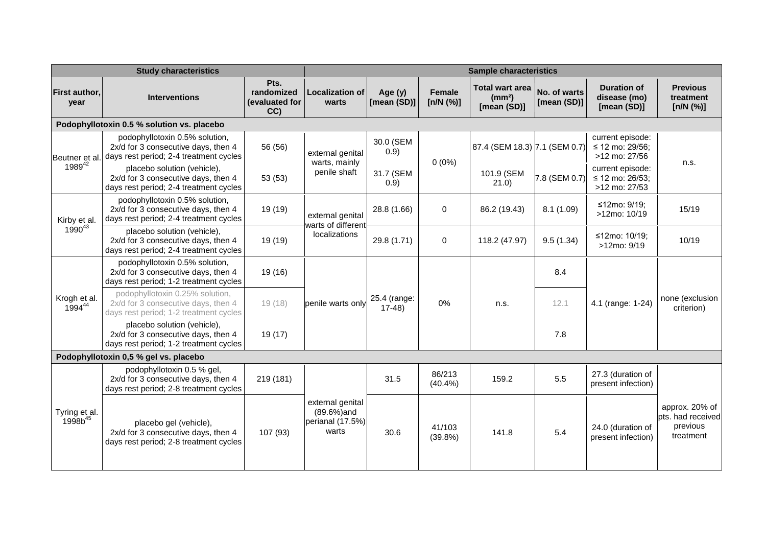|                                      | <b>Study characteristics</b>                                                                                     | <b>Sample characteristics</b>               |                                                              |                               |                            |                                                             |                             |                                                      |                                                              |
|--------------------------------------|------------------------------------------------------------------------------------------------------------------|---------------------------------------------|--------------------------------------------------------------|-------------------------------|----------------------------|-------------------------------------------------------------|-----------------------------|------------------------------------------------------|--------------------------------------------------------------|
| First author,<br>year                | <b>Interventions</b>                                                                                             | Pts.<br>randomized<br>(evaluated for<br>CC) | <b>Localization of</b><br>warts                              | Age $(y)$<br>[mean (SD)]      | <b>Female</b><br>[n/N (%)] | <b>Total wart area</b><br>(mm <sup>2</sup> )<br>[mean (SD)] | No. of warts<br>[mean (SD)] | <b>Duration of</b><br>disease (mo)<br>[mean (SD)]    | <b>Previous</b><br>treatment<br>[n/N (%)]                    |
|                                      | Podophyllotoxin 0.5 % solution vs. placebo                                                                       |                                             |                                                              |                               |                            |                                                             |                             |                                                      |                                                              |
| Beutner et al.                       | podophyllotoxin 0.5% solution,<br>2x/d for 3 consecutive days, then 4<br>days rest period; 2-4 treatment cycles  | 56 (56)                                     | external genital<br>warts, mainly                            | 30.0 (SEM<br>0.9)             | $0(0\%)$                   | 87.4 (SEM 18.3) 7.1 (SEM 0.7)                               |                             | current episode:<br>≤ 12 mo: 29/56;<br>>12 mo: 27/56 |                                                              |
| $1989^{42}$                          | placebo solution (vehicle),<br>2x/d for 3 consecutive days, then 4<br>days rest period; 2-4 treatment cycles     | 53 (53)                                     | penile shaft                                                 | 31.7 (SEM<br>0.9)             |                            | 101.9 (SEM<br>21.0                                          | 7.8 (SEM 0.7)               | current episode:<br>≤ 12 mo: 26/53;<br>>12 mo: 27/53 | n.s.                                                         |
| Kirby et al.                         | podophyllotoxin 0.5% solution,<br>2x/d for 3 consecutive days, then 4<br>days rest period; 2-4 treatment cycles  | 19 (19)                                     | external genital<br>warts of different<br>localizations      | 28.8 (1.66)                   | $\Omega$                   | 86.2 (19.43)                                                | 8.1(1.09)                   | ≤12mo: 9/19;<br>>12mo: 10/19                         | 15/19                                                        |
| $1990^{43}$                          | placebo solution (vehicle),<br>2x/d for 3 consecutive days, then 4<br>days rest period; 2-4 treatment cycles     | 19 (19)                                     |                                                              | 29.8 (1.71)                   | $\mathbf 0$                | 118.2 (47.97)                                               | 9.5(1.34)                   | ≤12mo: 10/19;<br>>12mo: 9/19                         | 10/19                                                        |
| Krogh et al.<br>199444               | podophyllotoxin 0.5% solution,<br>2x/d for 3 consecutive days, then 4<br>days rest period; 1-2 treatment cycles  | 19 (16)                                     | penile warts only                                            | 25.4 (range:<br>0%<br>$17-48$ |                            | 8.4                                                         |                             |                                                      |                                                              |
|                                      | podophyllotoxin 0.25% solution,<br>2x/d for 3 consecutive days, then 4<br>days rest period; 1-2 treatment cycles | 19(18)                                      |                                                              |                               |                            | n.s.                                                        | 12.1                        | 4.1 (range: 1-24)                                    | none (exclusion<br>criterion)                                |
|                                      | placebo solution (vehicle),<br>2x/d for 3 consecutive days, then 4<br>days rest period; 1-2 treatment cycles     | 19 (17)                                     |                                                              |                               |                            |                                                             | 7.8                         |                                                      |                                                              |
|                                      | Podophyllotoxin 0,5 % gel vs. placebo                                                                            |                                             |                                                              |                               |                            |                                                             |                             |                                                      |                                                              |
|                                      | podophyllotoxin 0.5 % gel,<br>2x/d for 3 consecutive days, then 4<br>days rest period; 2-8 treatment cycles      | 219 (181)                                   |                                                              | 31.5                          | 86/213<br>$(40.4\%)$       | 159.2                                                       | 5.5                         | 27.3 (duration of<br>present infection)              |                                                              |
| Tyring et al.<br>1998b <sup>45</sup> | placebo gel (vehicle),<br>2x/d for 3 consecutive days, then 4<br>days rest period; 2-8 treatment cycles          | 107 (93)                                    | external genital<br>(89.6%) and<br>perianal (17.5%)<br>warts | 30.6                          | 41/103<br>(39.8%)          | 141.8                                                       | 5.4                         | 24.0 (duration of<br>present infection)              | approx. 20% of<br>pts. had received<br>previous<br>treatment |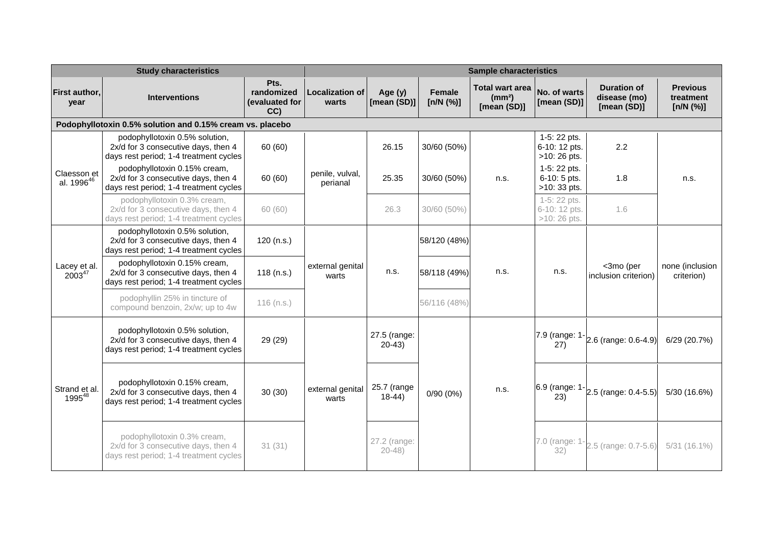|                                       | <b>Study characteristics</b>                                                                                    | <b>Sample characteristics</b>               |                                 |                           |                     |                                                             |                                               |                                                   |                                           |  |  |
|---------------------------------------|-----------------------------------------------------------------------------------------------------------------|---------------------------------------------|---------------------------------|---------------------------|---------------------|-------------------------------------------------------------|-----------------------------------------------|---------------------------------------------------|-------------------------------------------|--|--|
| First author,<br>year                 | <b>Interventions</b>                                                                                            | Pts.<br>randomized<br>(evaluated for<br>CC) | <b>Localization of</b><br>warts | Age (y)<br>[mean (SD)]    | Female<br>[n/N (%)] | <b>Total wart area</b><br>(mm <sup>2</sup> )<br>[mean (SD)] | No. of warts<br>[mean (SD)]                   | <b>Duration of</b><br>disease (mo)<br>[mean (SD)] | <b>Previous</b><br>treatment<br>[n/N (%)] |  |  |
|                                       | Podophyllotoxin 0.5% solution and 0.15% cream vs. placebo                                                       |                                             |                                 |                           |                     |                                                             |                                               |                                                   |                                           |  |  |
| Claesson et<br>al. 1996 <sup>46</sup> | podophyllotoxin 0.5% solution,<br>2x/d for 3 consecutive days, then 4<br>days rest period; 1-4 treatment cycles | 60 (60)                                     |                                 | 26.15                     | 30/60 (50%)         | n.s.                                                        | 1-5: 22 pts.<br>6-10: 12 pts.<br>>10: 26 pts. | 2.2                                               | n.s.                                      |  |  |
|                                       | podophyllotoxin 0.15% cream,<br>2x/d for 3 consecutive days, then 4<br>days rest period; 1-4 treatment cycles   | 60 (60)                                     | penile, vulval,<br>perianal     | 25.35                     | 30/60 (50%)         |                                                             | 1-5: 22 pts.<br>6-10: 5 pts.<br>>10: 33 pts.  | 1.8                                               |                                           |  |  |
|                                       | podophyllotoxin 0.3% cream,<br>2x/d for 3 consecutive days, then 4<br>days rest period; 1-4 treatment cycles    | 60 (60)                                     |                                 | 26.3                      | 30/60 (50%)         |                                                             | 1-5: 22 pts.<br>6-10: 12 pts.<br>>10:26 pts.  | 1.6                                               |                                           |  |  |
|                                       | podophyllotoxin 0.5% solution,<br>2x/d for 3 consecutive days, then 4<br>days rest period; 1-4 treatment cycles | 120 (n.s.)                                  | external genital<br>warts       |                           | 58/120 (48%)        |                                                             | n.s.                                          | <3mo (per<br>inclusion criterion)                 | none (inclusion<br>criterion)             |  |  |
| Lacey et al.<br>$2003^{47}$           | podophyllotoxin 0.15% cream,<br>2x/d for 3 consecutive days, then 4<br>days rest period; 1-4 treatment cycles   | 118(n.s.)                                   |                                 | n.s.                      | 58/118 (49%)        | n.s.                                                        |                                               |                                                   |                                           |  |  |
|                                       | podophyllin 25% in tincture of<br>compound benzoin, 2x/w; up to 4w                                              | $116$ (n.s.)                                |                                 |                           | 56/116 (48%)        |                                                             |                                               |                                                   |                                           |  |  |
| Strand et al.<br>1995 <sup>48</sup>   | podophyllotoxin 0.5% solution,<br>2x/d for 3 consecutive days, then 4<br>days rest period; 1-4 treatment cycles | 29 (29)                                     | external genital<br>warts       | 27.5 (range:<br>$20-43$   |                     | n.s.                                                        | 27)                                           | 7.9 (range: $1 - 2.6$ (range: 0.6-4.9)            | 6/29 (20.7%)                              |  |  |
|                                       | podophyllotoxin 0.15% cream,<br>2x/d for 3 consecutive days, then 4<br>days rest period; 1-4 treatment cycles   | 30(30)                                      |                                 | 25.7 (range<br>$18-44)$   | 0/90(0%)            |                                                             | 23)                                           | $6.9$ (range: $1 - 2.5$ (range: 0.4-5.5)          | 5/30 (16.6%)                              |  |  |
|                                       | podophyllotoxin 0.3% cream,<br>2x/d for 3 consecutive days, then 4<br>days rest period; 1-4 treatment cycles    | 31(31)                                      |                                 | 27.2 (range:<br>$20 - 48$ |                     |                                                             | 7.0 (range: 1<br>32)                          | 2.5 (range: 0.7-5.6)                              | $5/31(16.1\%)$                            |  |  |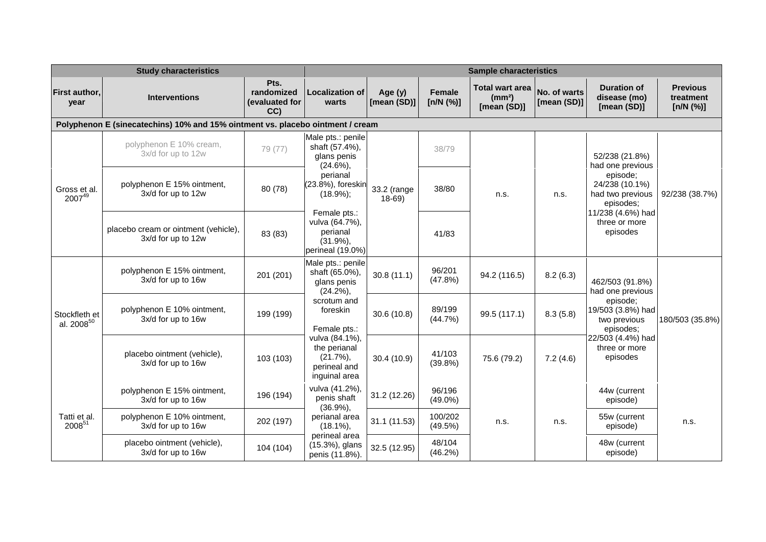|                                         | <b>Study characteristics</b>                                                   | <b>Sample characteristics</b>               |                                                                               |                        |                            |                                                             |                             |                                                             |                                           |
|-----------------------------------------|--------------------------------------------------------------------------------|---------------------------------------------|-------------------------------------------------------------------------------|------------------------|----------------------------|-------------------------------------------------------------|-----------------------------|-------------------------------------------------------------|-------------------------------------------|
| First author,<br>year                   | <b>Interventions</b>                                                           | Pts.<br>randomized<br>(evaluated for<br>CC) | <b>Localization of</b><br>warts                                               | Age (y)<br>[mean (SD)] | <b>Female</b><br>[n/N (%)] | <b>Total wart area</b><br>(mm <sup>2</sup> )<br>[mean (SD)] | No. of warts<br>[mean (SD)] | <b>Duration of</b><br>disease (mo)<br>[mean (SD)]           | <b>Previous</b><br>treatment<br>[n/N (%)] |
|                                         | Polyphenon E (sinecatechins) 10% and 15% ointment vs. placebo ointment / cream |                                             |                                                                               |                        |                            |                                                             |                             |                                                             |                                           |
|                                         | polyphenon E 10% cream,<br>3x/d for up to 12w                                  | 79 (77)                                     | Male pts.: penile<br>shaft (57.4%),<br>glans penis<br>$(24.6\%)$              |                        | 38/79                      |                                                             |                             | 52/238 (21.8%)<br>had one previous                          |                                           |
| Gross et al.<br>200749                  | polyphenon E 15% ointment,<br>3x/d for up to 12w                               | 80 (78)                                     | perianal<br>(23.8%), foreskin<br>$(18.9\%)$ ;                                 | 33.2 (range<br>$18-69$ | 38/80                      | n.s.                                                        | n.s.                        | episode;<br>24/238 (10.1%)<br>had two previous<br>episodes; | 92/238 (38.7%)                            |
|                                         | placebo cream or ointment (vehicle),<br>3x/d for up to 12w                     | 83 (83)                                     | Female pts.:<br>vulva (64.7%),<br>perianal<br>$(31.9\%),$<br>perineal (19.0%) |                        | 41/83                      |                                                             |                             | 11/238 (4.6%) had<br>three or more<br>episodes              |                                           |
|                                         | polyphenon E 15% ointment,<br>3x/d for up to 16w                               | 201 (201)                                   | Male pts.: penile<br>shaft (65.0%),<br>glans penis<br>$(24.2\%)$              | 30.8(11.1)             | 96/201<br>(47.8%)          | 94.2 (116.5)                                                | 8.2(6.3)                    | 462/503 (91.8%)<br>had one previous                         | 180/503 (35.8%)                           |
| Stockfleth et<br>al. 2008 <sup>50</sup> | polyphenon E 10% ointment,<br>3x/d for up to 16w                               | 199 (199)                                   | scrotum and<br>foreskin<br>Female pts.:                                       | 30.6 (10.8)            | 89/199<br>(44.7%)          | 99.5 (117.1)                                                | 8.3(5.8)                    | episode;<br>19/503 (3.8%) had<br>two previous<br>episodes:  |                                           |
|                                         | placebo ointment (vehicle),<br>3x/d for up to 16w                              | 103 (103)                                   | vulva (84.1%),<br>the perianal<br>$(21.7\%)$<br>perineal and<br>inguinal area | 30.4 (10.9)            | 41/103<br>$(39.8\%)$       | 75.6 (79.2)                                                 | 7.2(4.6)                    | 22/503 (4.4%) had<br>three or more<br>episodes              |                                           |
|                                         | polyphenon E 15% ointment,<br>3x/d for up to 16w                               | 196 (194)                                   | vulva (41.2%),<br>penis shaft<br>$(36.9\%)$<br>perianal area<br>$(18.1\%)$ ,  | 31.2 (12.26)           | 96/196<br>$(49.0\%)$       | n.s.<br>n.s.                                                |                             | 44w (current<br>episode)                                    | n.s.                                      |
| Tatti et al.<br>2008 <sup>51</sup>      | polyphenon E 10% ointment,<br>3x/d for up to 16w                               | 202 (197)                                   |                                                                               | 31.1(11.53)            | 100/202<br>(49.5%)         |                                                             |                             | 55w (current<br>episode)                                    |                                           |
|                                         | placebo ointment (vehicle),<br>3x/d for up to 16w                              | 104 (104)                                   | perineal area<br>(15.3%), glans<br>penis (11.8%).                             | 32.5 (12.95)           | 48/104<br>(46.2%)          |                                                             |                             | 48w (current<br>episode)                                    |                                           |